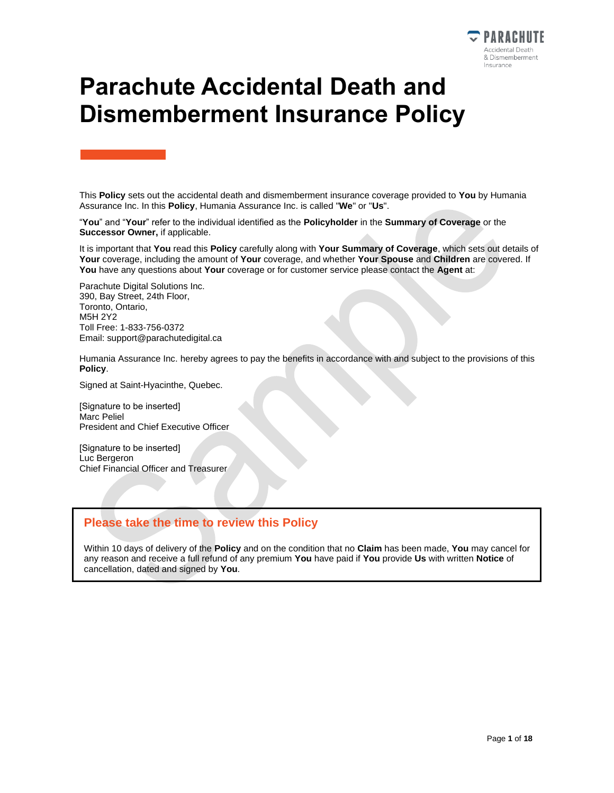

# **Parachute Accidental Death and Dismemberment Insurance Policy**

This **Policy** sets out the accidental death and dismemberment insurance coverage provided to **You** by Humania Assurance Inc. In this **Policy**, Humania Assurance Inc. is called "**We**" or "**Us**".

"**You**" and "**Your**" refer to the individual identified as the **Policyholder** in the **Summary of Coverage** or the **Successor Owner,** if applicable.

It is important that **You** read this **Policy** carefully along with **Your Summary of Coverage**, which sets out details of **Your** coverage, including the amount of **Your** coverage, and whether **Your Spouse** and **Children** are covered. If **You** have any questions about **Your** coverage or for customer service please contact the **Agent** at:

Parachute Digital Solutions Inc. 390, Bay Street, 24th Floor, Toronto, Ontario, M5H 2Y2 Toll Free: 1-833-756-0372 Email: support@parachutedigital.ca

Humania Assurance Inc. hereby agrees to pay the benefits in accordance with and subject to the provisions of this **Policy**.

Signed at Saint-Hyacinthe, Quebec.

[Signature to be inserted] Marc Peliel President and Chief Executive Officer

[Signature to be inserted] Luc Bergeron Chief Financial Officer and Treasurer

#### **Please take the time to review this Policy**

Within 10 days of delivery of the **Policy** and on the condition that no **Claim** has been made, **You** may cancel for any reason and receive a full refund of any premium **You** have paid if **You** provide **Us** with written **Notice** of cancellation, dated and signed by **You**.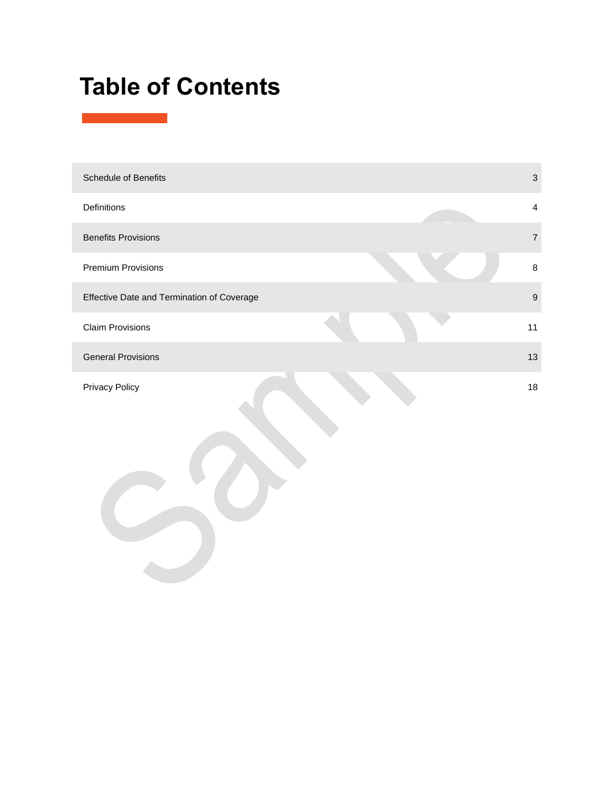# **Table of Contents**

| Schedule of Benefits                       |    | $\mathfrak{S}$   |
|--------------------------------------------|----|------------------|
| Definitions                                |    | $\overline{4}$   |
| <b>Benefits Provisions</b>                 |    | $\boldsymbol{7}$ |
| Premium Provisions                         |    | $\bf 8$          |
| Effective Date and Termination of Coverage |    | $\boldsymbol{9}$ |
| <b>Claim Provisions</b>                    | 11 |                  |
| <b>General Provisions</b>                  | 13 |                  |
| <b>Privacy Policy</b>                      | 18 |                  |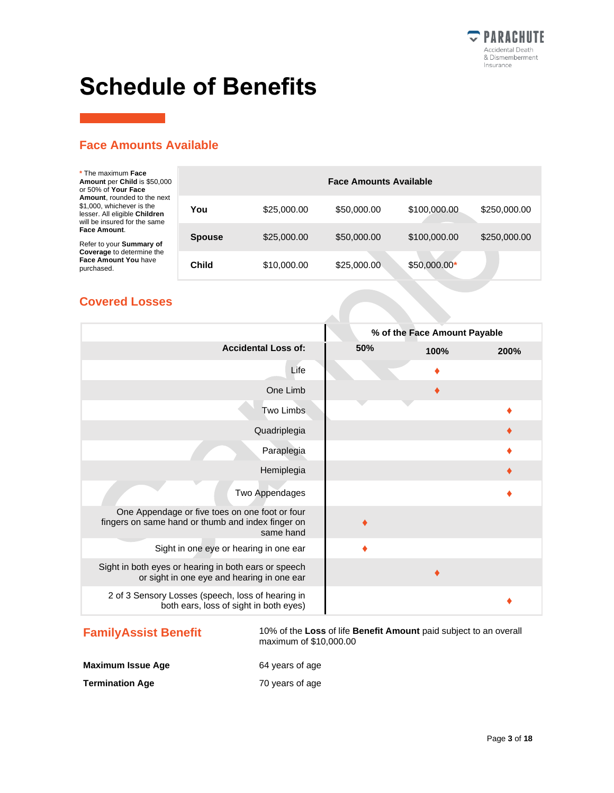

# <span id="page-2-0"></span>**Schedule of Benefits**

### **Face Amounts Available**

| * The maximum Face<br>Amount per Child is \$50,000<br>or 50% of Your Face                                                 | <b>Face Amounts Available</b> |             |             |               |              |
|---------------------------------------------------------------------------------------------------------------------------|-------------------------------|-------------|-------------|---------------|--------------|
| Amount, rounded to the next<br>\$1,000, whichever is the<br>lesser. All eligible Children<br>will be insured for the same | You                           | \$25,000.00 | \$50,000.00 | \$100,000.00  | \$250,000.00 |
| Face Amount.<br>Refer to your Summary of                                                                                  | <b>Spouse</b>                 | \$25,000.00 | \$50,000.00 | \$100,000.00  | \$250,000.00 |
| Coverage to determine the<br>Face Amount You have<br>purchased.                                                           | Child                         | \$10,000.00 | \$25,000.00 | $$50,000.00*$ |              |

### **Covered Losses**

|                                                                                                                  |     | % of the Face Amount Payable |      |
|------------------------------------------------------------------------------------------------------------------|-----|------------------------------|------|
| <b>Accidental Loss of:</b>                                                                                       | 50% | 100%                         | 200% |
| Life                                                                                                             |     |                              |      |
| One Limb                                                                                                         |     |                              |      |
| Two Limbs                                                                                                        |     |                              |      |
| Quadriplegia                                                                                                     |     |                              |      |
| Paraplegia                                                                                                       |     |                              |      |
| Hemiplegia                                                                                                       |     |                              |      |
| Two Appendages                                                                                                   |     |                              |      |
| One Appendage or five toes on one foot or four<br>fingers on same hand or thumb and index finger on<br>same hand |     |                              |      |
| Sight in one eye or hearing in one ear                                                                           |     |                              |      |
| Sight in both eyes or hearing in both ears or speech<br>or sight in one eye and hearing in one ear               |     |                              |      |
| 2 of 3 Sensory Losses (speech, loss of hearing in<br>both ears, loss of sight in both eyes)                      |     |                              |      |

**FamilyAssist Benefit** 10% of the Loss of life **Benefit Amount** paid subject to an overall maximum of \$10,000.00

**Maximum Issue Age** 64 years of age

**Termination Age** 70 years of age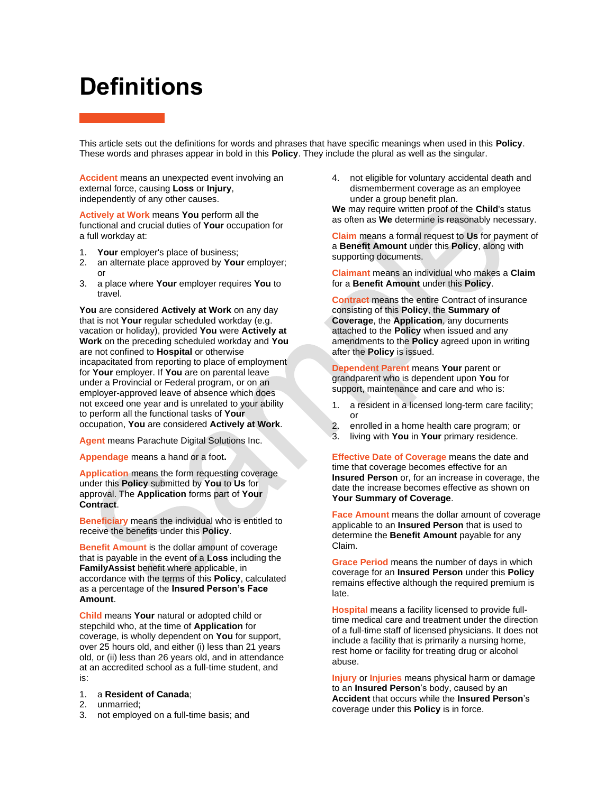# <span id="page-3-0"></span>**Definitions**

This article sets out the definitions for words and phrases that have specific meanings when used in this **Policy**. These words and phrases appear in bold in this **Policy**. They include the plural as well as the singular.

**Accident** means an unexpected event involving an external force, causing **Loss** or **Injury**, independently of any other causes.

**Actively at Work** means **You** perform all the functional and crucial duties of **Your** occupation for a full workday at:

- 1. **Your** employer's place of business;
- 2. an alternate place approved by **Your** employer; or
- 3. a place where **Your** employer requires **You** to travel.

**You** are considered **Actively at Work** on any day that is not **Your** regular scheduled workday (e.g. vacation or holiday), provided **You** were **Actively at Work** on the preceding scheduled workday and **You** are not confined to **Hospital** or otherwise incapacitated from reporting to place of employment for **Your** employer. If **You** are on parental leave under a Provincial or Federal program, or on an employer-approved leave of absence which does not exceed one year and is unrelated to your ability to perform all the functional tasks of **Your** occupation, **You** are considered **Actively at Work**.

**Agent** means Parachute Digital Solutions Inc.

**Appendage** means a hand or a foot**.**

**Application** means the form requesting coverage under this **Policy** submitted by **You** to **Us** for approval. The **Application** forms part of **Your Contract**.

**Beneficiary** means the individual who is entitled to receive the benefits under this **Policy**.

**Benefit Amount** is the dollar amount of coverage that is payable in the event of a **Loss** including the **FamilyAssist** benefit where applicable, in accordance with the terms of this **Policy**, calculated as a percentage of the **Insured Person's Face Amount**.

**Child** means **Your** natural or adopted child or stepchild who, at the time of **Application** for coverage, is wholly dependent on **You** for support, over 25 hours old, and either (i) less than 21 years old, or (ii) less than 26 years old, and in attendance at an accredited school as a full-time student, and is:

- 1. a **Resident of Canada**;
- 2. unmarried;
- 3. not employed on a full-time basis; and

4. not eligible for voluntary accidental death and dismemberment coverage as an employee under a group benefit plan.

**We** may require written proof of the **Child**'s status as often as **We** determine is reasonably necessary.

**Claim** means a formal request to **Us** for payment of a **Benefit Amount** under this **Policy**, along with supporting documents.

**Claimant** means an individual who makes a **Claim** for a **Benefit Amount** under this **Policy**.

**Contract** means the entire Contract of insurance consisting of this **Policy**, the **Summary of Coverage**, the **Application**, any documents attached to the **Policy** when issued and any amendments to the **Policy** agreed upon in writing after the **Policy** is issued.

**Dependent Parent** means **Your** parent or grandparent who is dependent upon **You** for support, maintenance and care and who is:

- 1. a resident in a licensed long-term care facility; or
- 2. enrolled in a home health care program; or
- 3. living with **You** in **Your** primary residence.

**Effective Date of Coverage** means the date and time that coverage becomes effective for an **Insured Person** or, for an increase in coverage, the date the increase becomes effective as shown on **Your Summary of Coverage**.

**Face Amount** means the dollar amount of coverage applicable to an **Insured Person** that is used to determine the **Benefit Amount** payable for any Claim.

**Grace Period** means the number of days in which coverage for an **Insured Person** under this **Policy** remains effective although the required premium is late.

**Hospital** means a facility licensed to provide fulltime medical care and treatment under the direction of a full-time staff of licensed physicians. It does not include a facility that is primarily a nursing home, rest home or facility for treating drug or alcohol abuse.

**Injury** or **Injuries** means physical harm or damage to an **Insured Person**'s body, caused by an **Accident** that occurs while the **Insured Person**'s coverage under this **Policy** is in force.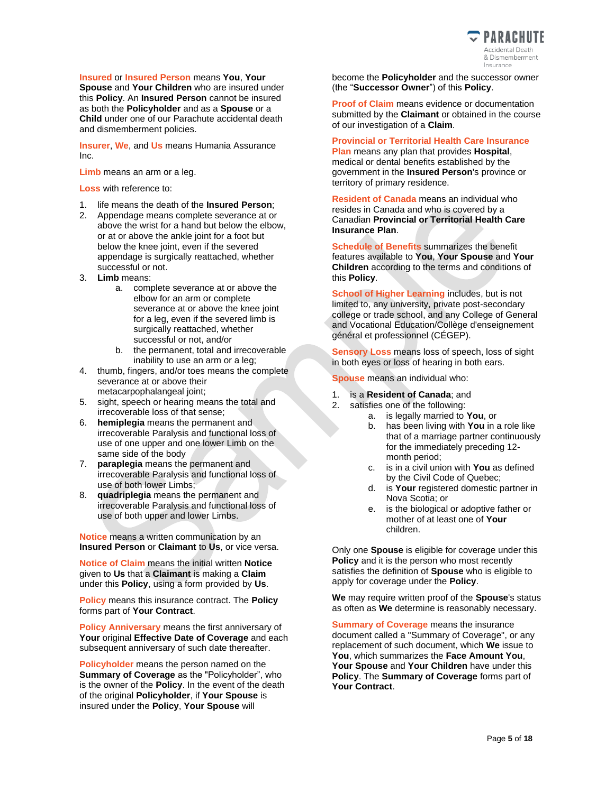

**Insured** or **Insured Person** means **You**, **Your Spouse** and **Your Children** who are insured under this **Policy**. An **Insured Person** cannot be insured as both the **Policyholder** and as a **Spouse** or a **Child** under one of our Parachute accidental death and dismemberment policies.

**Insurer**, **We**, and **Us** means Humania Assurance Inc.

**Limb** means an arm or a leg.

**Loss** with reference to:

- 1. life means the death of the **Insured Person**;
- 2. Appendage means complete severance at or above the wrist for a hand but below the elbow, or at or above the ankle joint for a foot but below the knee joint, even if the severed appendage is surgically reattached, whether successful or not.
- 3. **Limb** means:
	- a. complete severance at or above the elbow for an arm or complete severance at or above the knee joint for a leg, even if the severed limb is surgically reattached, whether successful or not, and/or
	- b. the permanent, total and irrecoverable inability to use an arm or a leg;
- 4. thumb, fingers, and/or toes means the complete severance at or above their metacarpophalangeal joint;
- 5. sight, speech or hearing means the total and irrecoverable loss of that sense;
- 6. **hemiplegia** means the permanent and irrecoverable Paralysis and functional loss of use of one upper and one lower Limb on the same side of the body
- 7. **paraplegia** means the permanent and irrecoverable Paralysis and functional loss of use of both lower Limbs;
- 8. **quadriplegia** means the permanent and irrecoverable Paralysis and functional loss of use of both upper and lower Limbs.

**Notice** means a written communication by an **Insured Person** or **Claimant** to **Us**, or vice versa.

**Notice of Claim** means the initial written **Notice** given to **Us** that a **Claimant** is making a **Claim** under this **Policy**, using a form provided by **Us**.

**Policy** means this insurance contract. The **Policy** forms part of **Your Contract**.

**Policy Anniversary** means the first anniversary of **Your** original **Effective Date of Coverage** and each subsequent anniversary of such date thereafter.

**Policyholder** means the person named on the **Summary of Coverage** as the "Policyholder", who is the owner of the **Policy**. In the event of the death of the original **Policyholder**, if **Your Spouse** is insured under the **Policy**, **Your Spouse** will

become the **Policyholder** and the successor owner (the "**Successor Owner**") of this **Policy**.

**Proof of Claim** means evidence or documentation submitted by the **Claimant** or obtained in the course of our investigation of a **Claim**.

**Provincial or Territorial Health Care Insurance** 

**Plan** means any plan that provides **Hospital**, medical or dental benefits established by the government in the **Insured Person**'s province or territory of primary residence.

**Resident of Canada** means an individual who resides in Canada and who is covered by a Canadian **Provincial or Territorial Health Care Insurance Plan**.

**Schedule of Benefits** summarizes the benefit features available to **You**, **Your Spouse** and **Your Children** according to the terms and conditions of this **Policy**.

**School of Higher Learning includes, but is not** limited to, any university, private post-secondary college or trade school, and any College of General and Vocational Education/Collège d'enseignement général et professionnel (CÉGEP).

**Sensory Loss** means loss of speech, loss of sight in both eyes or loss of hearing in both ears.

**Spouse** means an individual who:

- 1. is a **Resident of Canada**; and
- 2. satisfies one of the following:
	- a. is legally married to **You**, or
	- b. has been living with **You** in a role like that of a marriage partner continuously for the immediately preceding 12 month period;
	- c. is in a civil union with **You** as defined by the Civil Code of Quebec;
	- d. is **Your** registered domestic partner in Nova Scotia; or
	- e. is the biological or adoptive father or mother of at least one of **Your** children.

Only one **Spouse** is eligible for coverage under this **Policy** and it is the person who most recently satisfies the definition of **Spouse** who is eligible to apply for coverage under the **Policy**.

**We** may require written proof of the **Spouse**'s status as often as **We** determine is reasonably necessary.

**Summary of Coverage** means the insurance document called a "Summary of Coverage", or any replacement of such document, which **We** issue to **You**, which summarizes the **Face Amount You**, **Your Spouse** and **Your Children** have under this **Policy**. The **Summary of Coverage** forms part of **Your Contract**.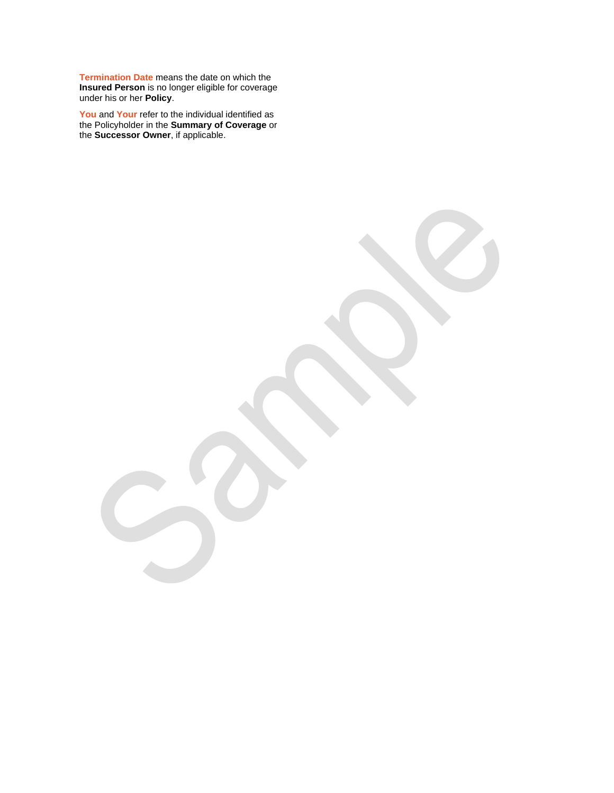**Termination Date** means the date on which the **Insured Person** is no longer eligible for coverage under his or her **Policy**.

**You** and **Your** refer to the individual identified as the Policyholder in the **Summary of Coverage** or the **Successor Owner**, if applicable.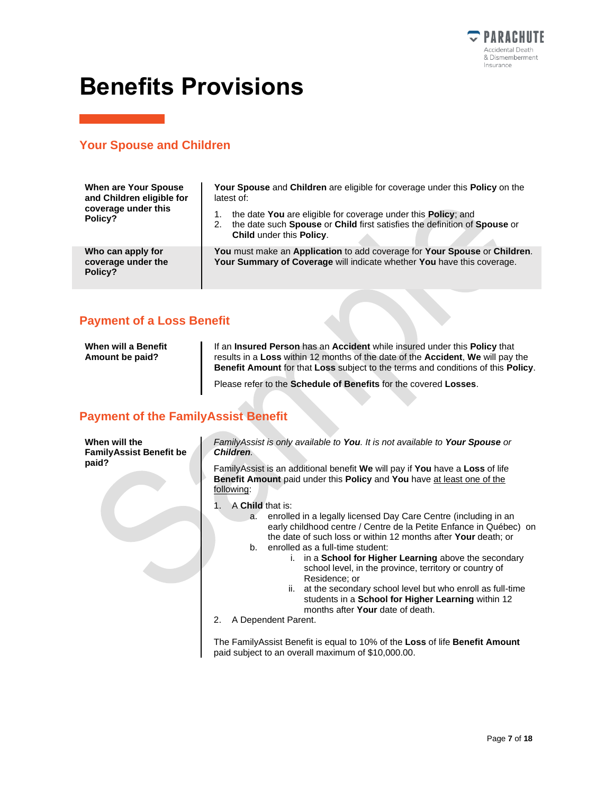

# <span id="page-6-0"></span>**Benefits Provisions**

#### **Your Spouse and Children**

| <b>When are Your Spouse</b><br>and Children eligible for<br>coverage under this<br>Policy? | <b>Your Spouse and Children are eligible for coverage under this Policy on the</b><br>latest of:                                                                             |  |  |
|--------------------------------------------------------------------------------------------|------------------------------------------------------------------------------------------------------------------------------------------------------------------------------|--|--|
|                                                                                            | the date You are eligible for coverage under this Policy; and<br>the date such Spouse or Child first satisfies the definition of Spouse or<br>2.<br>Child under this Policy. |  |  |
| Who can apply for<br>coverage under the<br>Policy?                                         | You must make an Application to add coverage for Your Spouse or Children.<br>Your Summary of Coverage will indicate whether You have this coverage.                          |  |  |

#### **Payment of a Loss Benefit**

| When will a Benefit<br>Amount be paid? | If an Insured Person has an Accident while insured under this Policy that<br>results in a Loss within 12 months of the date of the Accident, We will pay the<br><b>Benefit Amount for that Loss subject to the terms and conditions of this Policy.</b> |
|----------------------------------------|---------------------------------------------------------------------------------------------------------------------------------------------------------------------------------------------------------------------------------------------------------|
|                                        | Please refer to the Schedule of Benefits for the covered Losses.                                                                                                                                                                                        |

### **Payment of the FamilyAssist Benefit**

| When will the                  |
|--------------------------------|
| <b>FamilyAssist Benefit be</b> |
| paid?                          |

*FamilyAssist is only available to You. It is not available to Your Spouse or Children.*

FamilyAssist is an additional benefit **We** will pay if **You** have a **Loss** of life **Benefit Amount** paid under this **Policy** and **You** have at least one of the following:

- 1. A **Child** that is:
	- a. enrolled in a legally licensed Day Care Centre (including in an early childhood centre / Centre de la Petite Enfance in Québec) on the date of such loss or within 12 months after **Your** death; or b. enrolled as a full-time student:
		- i. in a **School for Higher Learning** above the secondary school level, in the province, territory or country of Residence; or
			- ii. at the secondary school level but who enroll as full-time students in a **School for Higher Learning** within 12 months after **Your** date of death.
- 2. A Dependent Parent.

The FamilyAssist Benefit is equal to 10% of the **Loss** of life **Benefit Amount**  paid subject to an overall maximum of \$10,000.00.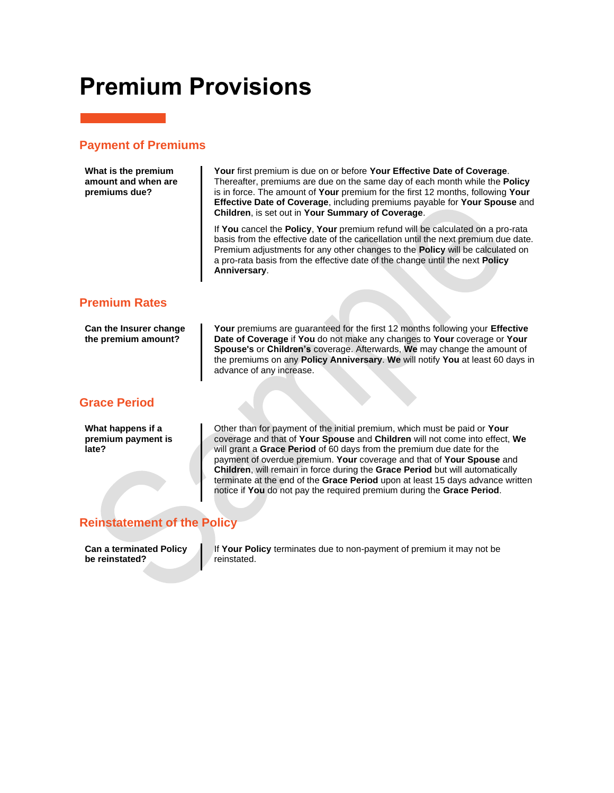# <span id="page-7-0"></span>**Premium Provisions**

## **Payment of Premiums**

| What is the premium<br>amount and when are<br>premiums due? | Your first premium is due on or before Your Effective Date of Coverage.<br>Thereafter, premiums are due on the same day of each month while the <b>Policy</b><br>is in force. The amount of Your premium for the first 12 months, following Your<br>Effective Date of Coverage, including premiums payable for Your Spouse and<br>Children, is set out in Your Summary of Coverage.                                                                                                                                                                      |
|-------------------------------------------------------------|----------------------------------------------------------------------------------------------------------------------------------------------------------------------------------------------------------------------------------------------------------------------------------------------------------------------------------------------------------------------------------------------------------------------------------------------------------------------------------------------------------------------------------------------------------|
|                                                             | If You cancel the Policy, Your premium refund will be calculated on a pro-rata<br>basis from the effective date of the cancellation until the next premium due date.<br>Premium adjustments for any other changes to the Policy will be calculated on<br>a pro-rata basis from the effective date of the change until the next Policy<br>Anniversary.                                                                                                                                                                                                    |
| <b>Premium Rates</b>                                        |                                                                                                                                                                                                                                                                                                                                                                                                                                                                                                                                                          |
| Can the Insurer change<br>the premium amount?               | <b>Your</b> premiums are guaranteed for the first 12 months following your <b>Effective</b><br>Date of Coverage if You do not make any changes to Your coverage or Your<br>Spouse's or Children's coverage. Afterwards, We may change the amount of<br>the premiums on any Policy Anniversary. We will notify You at least 60 days in<br>advance of any increase.                                                                                                                                                                                        |
| <b>Grace Period</b>                                         |                                                                                                                                                                                                                                                                                                                                                                                                                                                                                                                                                          |
| What happens if a<br>premium payment is<br>late?            | Other than for payment of the initial premium, which must be paid or Your<br>coverage and that of Your Spouse and Children will not come into effect, We<br>will grant a Grace Period of 60 days from the premium due date for the<br>payment of overdue premium. Your coverage and that of Your Spouse and<br>Children, will remain in force during the Grace Period but will automatically<br>terminate at the end of the Grace Period upon at least 15 days advance written<br>notice if You do not pay the required premium during the Grace Period. |
| <b>Reinstatement of the Policy</b>                          |                                                                                                                                                                                                                                                                                                                                                                                                                                                                                                                                                          |

<span id="page-7-1"></span>**Can a terminated Policy be reinstated?**

If **Your Policy** terminates due to non-payment of premium it may not be reinstated.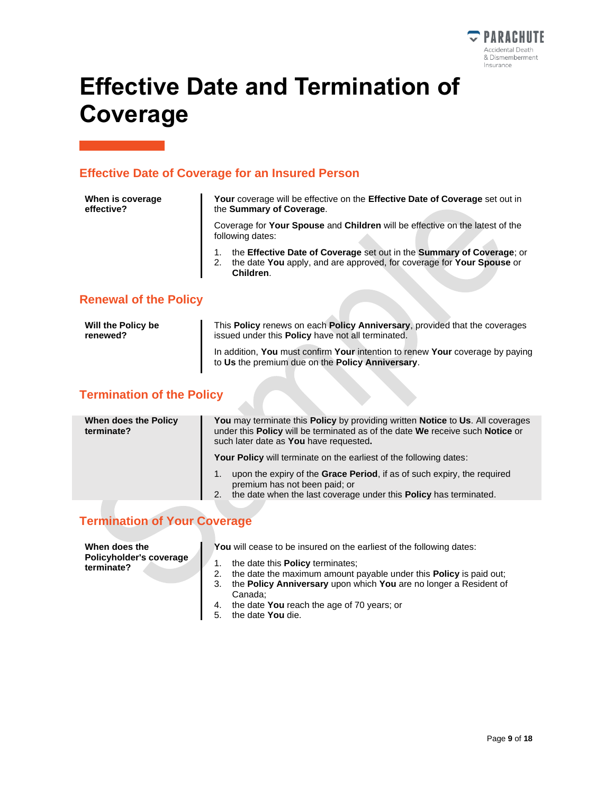

# <span id="page-8-0"></span>**Effective Date and Termination of Coverage**

### **Effective Date of Coverage for an Insured Person**

| When is coverage<br>effective? | Your coverage will be effective on the Effective Date of Coverage set out in<br>the Summary of Coverage.                                                    |
|--------------------------------|-------------------------------------------------------------------------------------------------------------------------------------------------------------|
|                                | Coverage for Your Spouse and Children will be effective on the latest of the<br>following dates:                                                            |
|                                | the Effective Date of Coverage set out in the Summary of Coverage; or<br>the date You apply, and are approved, for coverage for Your Spouse or<br>Children. |

#### **Renewal of the Policy**

| Will the Policy be | This <b>Policy</b> renews on each <b>Policy Anniversary</b> , provided that the coverages                                         |
|--------------------|-----------------------------------------------------------------------------------------------------------------------------------|
| renewed?           | issued under this <b>Policy</b> have not all terminated.                                                                          |
|                    | In addition, You must confirm Your intention to renew Your coverage by paying<br>to Us the premium due on the Policy Anniversary. |

## **Termination of the Policy**

| When does the Policy<br>terminate? | You may terminate this Policy by providing written Notice to Us. All coverages<br>under this Policy will be terminated as of the date We receive such Notice or<br>such later date as You have requested. |
|------------------------------------|-----------------------------------------------------------------------------------------------------------------------------------------------------------------------------------------------------------|
|                                    | <b>Your Policy</b> will terminate on the earliest of the following dates:                                                                                                                                 |
|                                    | upon the expiry of the Grace Period, if as of such expiry, the required<br>1.<br>premium has not been paid; or<br>the date when the last coverage under this Policy has terminated.<br>2.1                |
|                                    |                                                                                                                                                                                                           |

## **Termination of Your Coverage**

| When does the                         | You will cease to be insured on the earliest of the following dates:                  |
|---------------------------------------|---------------------------------------------------------------------------------------|
| Policyholder's coverage<br>terminate? | the date this <b>Policy</b> terminates:                                               |
|                                       | the date the maximum amount payable under this <b>Policy</b> is paid out:<br>2.       |
|                                       | the <b>Policy Anniversary</b> upon which <b>You</b> are no longer a Resident of<br>3. |
|                                       | Canada:                                                                               |
|                                       | 4. the date You reach the age of 70 years; or                                         |
|                                       | the date You die.<br>5.                                                               |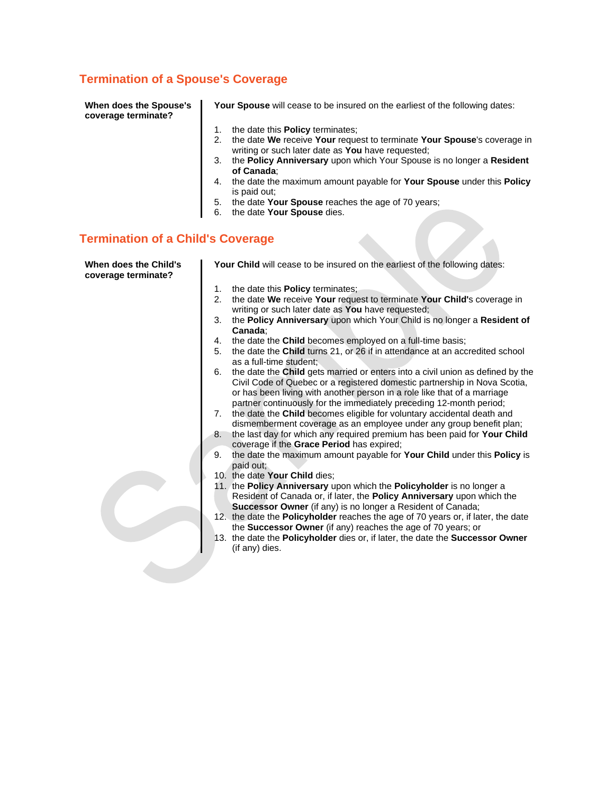### **Termination of a Spouse's Coverage**

| When does the Spouse's |
|------------------------|
| coverage terminate?    |

**Your Spouse** will cease to be insured on the earliest of the following dates:

- 1. the date this **Policy** terminates;
- 2. the date **We** receive **Your** request to terminate **Your Spouse**'s coverage in writing or such later date as **You** have requested;
- 3. the **Policy Anniversary** upon which Your Spouse is no longer a **Resident of Canada**;
- 4. the date the maximum amount payable for **Your Spouse** under this **Policy** is paid out;
- 5. the date **Your Spouse** reaches the age of 70 years;
- 6. the date **Your Spouse** dies.

### **Termination of a Child's Coverage**

| When does the Child's<br>coverage terminate? |                | Your Child will cease to be insured on the earliest of the following dates:                                                                                                                                                                                                                                    |
|----------------------------------------------|----------------|----------------------------------------------------------------------------------------------------------------------------------------------------------------------------------------------------------------------------------------------------------------------------------------------------------------|
|                                              | 1.             | the date this <b>Policy</b> terminates;                                                                                                                                                                                                                                                                        |
|                                              | 2.             | the date We receive Your request to terminate Your Child's coverage in<br>writing or such later date as You have requested;                                                                                                                                                                                    |
|                                              | 3.             | the Policy Anniversary upon which Your Child is no longer a Resident of<br>Canada:                                                                                                                                                                                                                             |
|                                              | 4.             | the date the Child becomes employed on a full-time basis;                                                                                                                                                                                                                                                      |
|                                              | 5.             | the date the <b>Child</b> turns 21, or 26 if in attendance at an accredited school<br>as a full-time student:                                                                                                                                                                                                  |
|                                              | 6.             | the date the Child gets married or enters into a civil union as defined by the<br>Civil Code of Quebec or a registered domestic partnership in Nova Scotia,<br>or has been living with another person in a role like that of a marriage<br>partner continuously for the immediately preceding 12-month period; |
|                                              | 7 <sub>1</sub> | the date the Child becomes eligible for voluntary accidental death and<br>dismemberment coverage as an employee under any group benefit plan;                                                                                                                                                                  |
|                                              | 8.             | the last day for which any required premium has been paid for Your Child<br>coverage if the Grace Period has expired;                                                                                                                                                                                          |
|                                              | 9.             | the date the maximum amount payable for Your Child under this Policy is<br>paid out;                                                                                                                                                                                                                           |
|                                              |                | 10. the date Your Child dies;                                                                                                                                                                                                                                                                                  |
|                                              |                | 11. the Policy Anniversary upon which the Policyholder is no longer a<br>Resident of Canada or, if later, the Policy Anniversary upon which the                                                                                                                                                                |
|                                              |                | Successor Owner (if any) is no longer a Resident of Canada;                                                                                                                                                                                                                                                    |
|                                              |                | 12. the date the Policyholder reaches the age of 70 years or, if later, the date<br>the Successor Owner (if any) reaches the age of 70 years; or                                                                                                                                                               |
|                                              |                | 13. the date the Policyholder dies or, if later, the date the Successor Owner                                                                                                                                                                                                                                  |
|                                              |                | (if any) dies.                                                                                                                                                                                                                                                                                                 |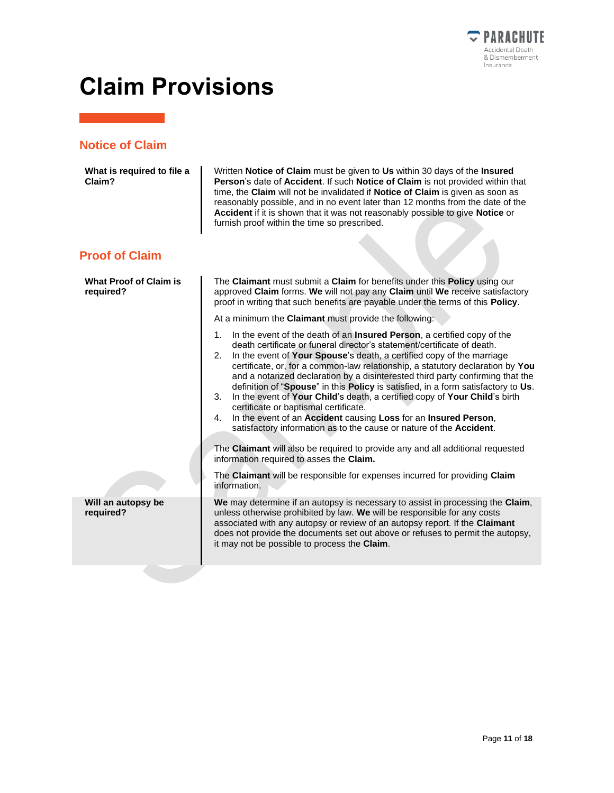

# <span id="page-10-0"></span>**Claim Provisions**

### **Notice of Claim**

| What is required to file a<br>Claim?       | Written Notice of Claim must be given to Us within 30 days of the Insured<br>Person's date of Accident. If such Notice of Claim is not provided within that<br>time, the Claim will not be invalidated if Notice of Claim is given as soon as<br>reasonably possible, and in no event later than 12 months from the date of the<br>Accident if it is shown that it was not reasonably possible to give Notice or<br>furnish proof within the time so prescribed.                                                                                                                                                                                                                                                                                                                                                                                                                                                 |
|--------------------------------------------|------------------------------------------------------------------------------------------------------------------------------------------------------------------------------------------------------------------------------------------------------------------------------------------------------------------------------------------------------------------------------------------------------------------------------------------------------------------------------------------------------------------------------------------------------------------------------------------------------------------------------------------------------------------------------------------------------------------------------------------------------------------------------------------------------------------------------------------------------------------------------------------------------------------|
| <b>Proof of Claim</b>                      |                                                                                                                                                                                                                                                                                                                                                                                                                                                                                                                                                                                                                                                                                                                                                                                                                                                                                                                  |
| <b>What Proof of Claim is</b><br>required? | The Claimant must submit a Claim for benefits under this Policy using our<br>approved Claim forms. We will not pay any Claim until We receive satisfactory<br>proof in writing that such benefits are payable under the terms of this Policy.                                                                                                                                                                                                                                                                                                                                                                                                                                                                                                                                                                                                                                                                    |
|                                            | At a minimum the Claimant must provide the following:                                                                                                                                                                                                                                                                                                                                                                                                                                                                                                                                                                                                                                                                                                                                                                                                                                                            |
|                                            | In the event of the death of an <b>Insured Person</b> , a certified copy of the<br>1.<br>death certificate or funeral director's statement/certificate of death.<br>In the event of Your Spouse's death, a certified copy of the marriage<br>2.<br>certificate, or, for a common-law relationship, a statutory declaration by You<br>and a notarized declaration by a disinterested third party confirming that the<br>definition of "Spouse" in this Policy is satisfied, in a form satisfactory to Us.<br>In the event of Your Child's death, a certified copy of Your Child's birth<br>3.<br>certificate or baptismal certificate.<br>4. In the event of an Accident causing Loss for an Insured Person,<br>satisfactory information as to the cause or nature of the Accident.<br>The Claimant will also be required to provide any and all additional requested<br>information required to asses the Claim. |
|                                            | The Claimant will be responsible for expenses incurred for providing Claim<br>information.                                                                                                                                                                                                                                                                                                                                                                                                                                                                                                                                                                                                                                                                                                                                                                                                                       |
| Will an autopsy be<br>required?            | We may determine if an autopsy is necessary to assist in processing the Claim,<br>unless otherwise prohibited by law. We will be responsible for any costs<br>associated with any autopsy or review of an autopsy report. If the Claimant<br>does not provide the documents set out above or refuses to permit the autopsy,<br>it may not be possible to process the Claim.                                                                                                                                                                                                                                                                                                                                                                                                                                                                                                                                      |
|                                            |                                                                                                                                                                                                                                                                                                                                                                                                                                                                                                                                                                                                                                                                                                                                                                                                                                                                                                                  |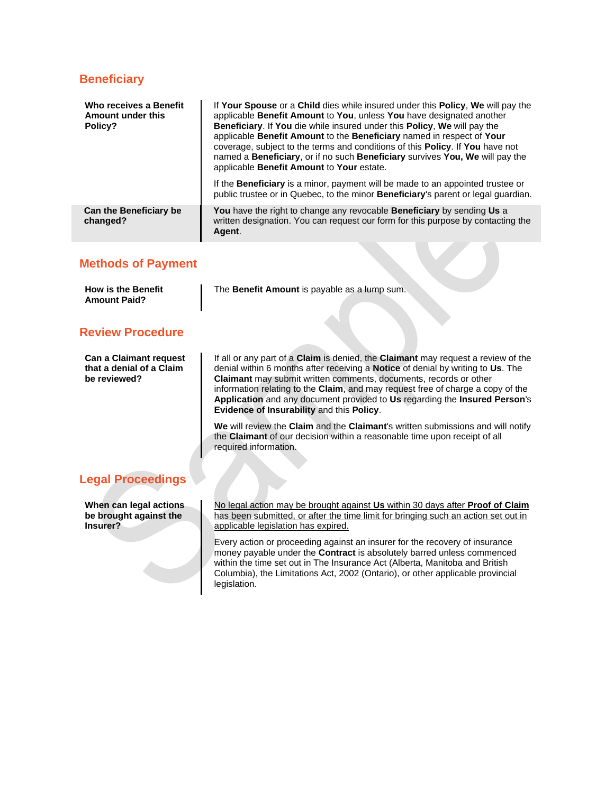#### **Beneficiary**

| Who receives a Benefit<br>Amount under this<br>Policy? | If Your Spouse or a Child dies while insured under this Policy, We will pay the<br>applicable Benefit Amount to You, unless You have designated another<br>Beneficiary. If You die while insured under this Policy, We will pay the<br>applicable Benefit Amount to the Beneficiary named in respect of Your<br>coverage, subject to the terms and conditions of this <b>Policy</b> . If <b>You</b> have not<br>named a Beneficiary, or if no such Beneficiary survives You, We will pay the<br>applicable Benefit Amount to Your estate. |  |
|--------------------------------------------------------|-------------------------------------------------------------------------------------------------------------------------------------------------------------------------------------------------------------------------------------------------------------------------------------------------------------------------------------------------------------------------------------------------------------------------------------------------------------------------------------------------------------------------------------------|--|
|                                                        | If the <b>Beneficiary</b> is a minor, payment will be made to an appointed trustee or<br>public trustee or in Quebec, to the minor <b>Beneficiary</b> 's parent or legal quardian.                                                                                                                                                                                                                                                                                                                                                        |  |
| <b>Can the Beneficiary be</b><br>changed?              | You have the right to change any revocable Beneficiary by sending Us a<br>written designation. You can request our form for this purpose by contacting the<br>Agent.                                                                                                                                                                                                                                                                                                                                                                      |  |

#### **Methods of Payment**

| <b>How is the Benefit</b> | The Benefit Amount is payable as a lump sum. |  |
|---------------------------|----------------------------------------------|--|
| <b>Amount Paid?</b>       |                                              |  |

#### **Review Procedure**

**Can a Claimant request that a denial of a Claim be reviewed?**

If all or any part of a **Claim** is denied, the **Claimant** may request a review of the denial within 6 months after receiving a **Notice** of denial by writing to **Us**. The **Claimant** may submit written comments, documents, records or other information relating to the **Claim**, and may request free of charge a copy of the **Application** and any document provided to **Us** regarding the **Insured Person**'s **Evidence of Insurability** and this **Policy**.

**We** will review the **Claim** and the **Claimant**'s written submissions and will notify the **Claimant** of our decision within a reasonable time upon receipt of all required information.

#### **Legal Proceedings**

**When can legal actions be brought against the Insurer?**

No legal action may be brought against **Us** within 30 days after **Proof of Claim** has been submitted, or after the time limit for bringing such an action set out in applicable legislation has expired.

Every action or proceeding against an insurer for the recovery of insurance money payable under the **Contract** is absolutely barred unless commenced within the time set out in The Insurance Act (Alberta, Manitoba and British Columbia), the Limitations Act, 2002 (Ontario), or other applicable provincial legislation.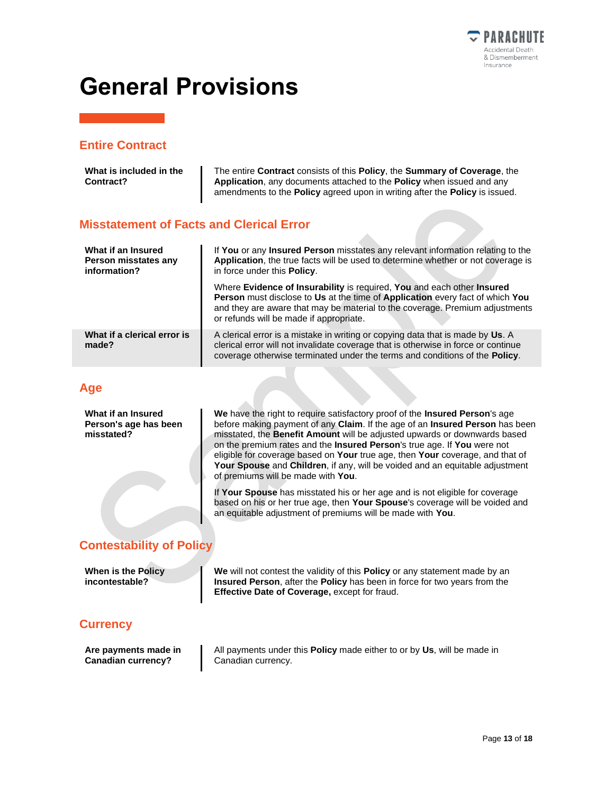

# <span id="page-12-0"></span>**General Provisions**

#### **Entire Contract**

| What is included in the<br>Contract?                       | The entire <b>Contract</b> consists of this <b>Policy</b> , the <b>Summary of Coverage</b> , the<br>Application, any documents attached to the Policy when issued and any<br>amendments to the <b>Policy</b> agreed upon in writing after the <b>Policy</b> is issued.                    |
|------------------------------------------------------------|-------------------------------------------------------------------------------------------------------------------------------------------------------------------------------------------------------------------------------------------------------------------------------------------|
| <b>Misstatement of Facts and Clerical Error</b>            |                                                                                                                                                                                                                                                                                           |
| What if an Insured<br>Person misstates any<br>information? | If You or any Insured Person misstates any relevant information relating to the<br>Application, the true facts will be used to determine whether or not coverage is<br>in force under this <b>Policy</b> .                                                                                |
|                                                            | Where Evidence of Insurability is required, You and each other Insured<br><b>Person</b> must disclose to Us at the time of Application every fact of which You<br>and they are aware that may be material to the coverage. Premium adjustments<br>or refunds will be made if appropriate. |
| What if a clerical error is<br>made?                       | A clerical error is a mistake in writing or copying data that is made by Us. A<br>clerical error will not invalidate coverage that is otherwise in force or continue<br>coverage otherwise terminated under the terms and conditions of the <b>Policy</b> .                               |
| Age                                                        |                                                                                                                                                                                                                                                                                           |

**What if an Insured Person's age has been misstated?**

**We** have the right to require satisfactory proof of the **Insured Person**'s age before making payment of any **Claim**. If the age of an **Insured Person** has been misstated, the **Benefit Amount** will be adjusted upwards or downwards based on the premium rates and the **Insured Person**'s true age. If **You** were not eligible for coverage based on **Your** true age, then **Your** coverage, and that of **Your Spouse** and **Children**, if any, will be voided and an equitable adjustment of premiums will be made with **You**.

If **Your Spouse** has misstated his or her age and is not eligible for coverage based on his or her true age, then **Your Spouse**'s coverage will be voided and an equitable adjustment of premiums will be made with **You**.

### **Contestability of Policy**

**When is the Policy incontestable?**

**We** will not contest the validity of this **Policy** or any statement made by an **Insured Person**, after the **Policy** has been in force for two years from the **Effective Date of Coverage,** except for fraud.

#### **Currency**

**Are payments made in Canadian currency?**

All payments under this **Policy** made either to or by **Us**, will be made in Canadian currency.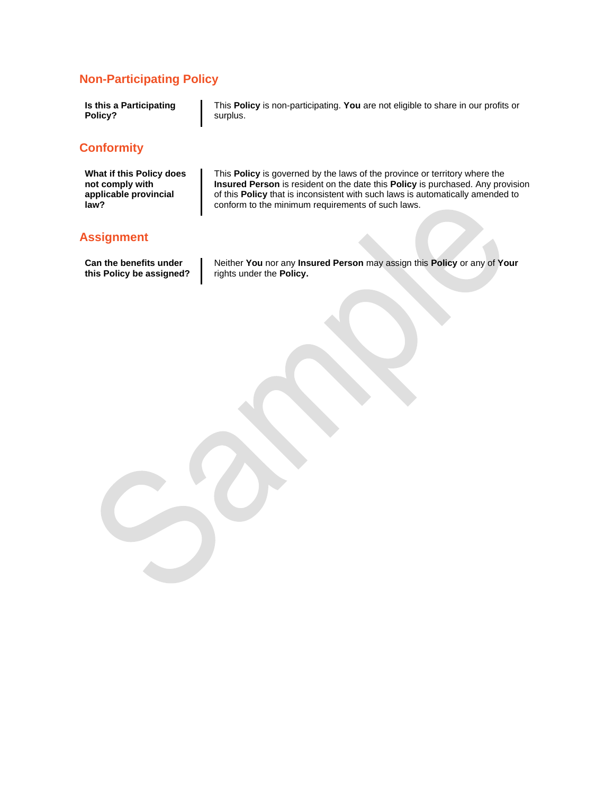### **Non-Participating Policy**

| Is this a Participating | This <b>Policy</b> is non-participating. You are not eligible to share in our profits or |
|-------------------------|------------------------------------------------------------------------------------------|
| Policy?                 | surplus.                                                                                 |
| <b>Conformity</b>       |                                                                                          |

**What if this Policy does not comply with applicable provincial law?**

This **Policy** is governed by the laws of the province or territory where the **Insured Person** is resident on the date this **Policy** is purchased. Any provision of this **Policy** that is inconsistent with such laws is automatically amended to conform to the minimum requirements of such laws.

#### **Assignment**

**Can the benefits under this Policy be assigned?** Neither **You** nor any **Insured Person** may assign this **Policy** or any of **Your** rights under the **Policy.**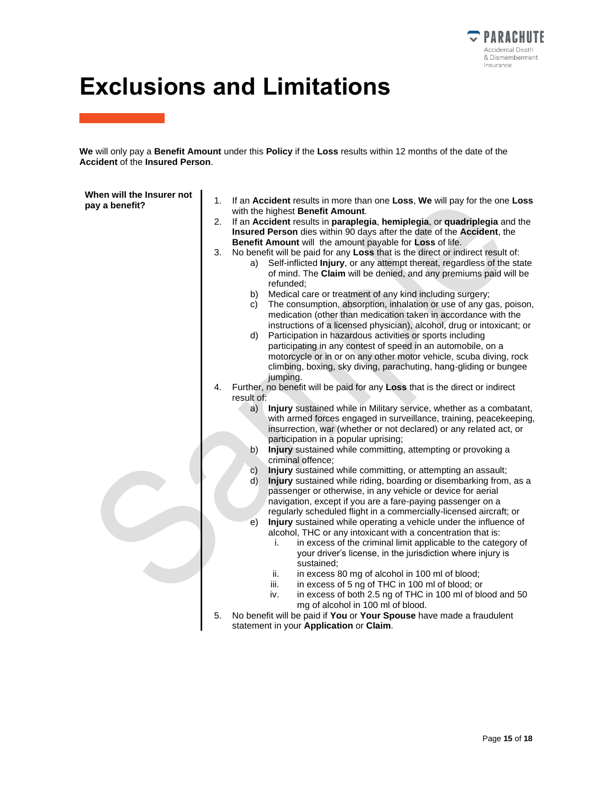

# **Exclusions and Limitations**

**We** will only pay a **Benefit Amount** under this **Policy** if the **Loss** results within 12 months of the date of the **Accident** of the **Insured Person**.

| When will the Insurer not<br>pay a benefit? | 1.<br>2.<br>3. | If an Accident results in more than one Loss, We will pay for the one Loss<br>with the highest Benefit Amount.<br>If an Accident results in paraplegia, hemiplegia, or quadriplegia and the<br>Insured Person dies within 90 days after the date of the Accident, the<br>Benefit Amount will the amount payable for Loss of life.<br>No benefit will be paid for any Loss that is the direct or indirect result of:<br>Self-inflicted Injury, or any attempt thereat, regardless of the state<br>a)<br>of mind. The Claim will be denied, and any premiums paid will be<br>refunded;<br>Medical care or treatment of any kind including surgery;<br>b)                                                                                                                                                                                                                                                                                                                                                                                                                                                                                                                                                                                                                                                                                         |
|---------------------------------------------|----------------|------------------------------------------------------------------------------------------------------------------------------------------------------------------------------------------------------------------------------------------------------------------------------------------------------------------------------------------------------------------------------------------------------------------------------------------------------------------------------------------------------------------------------------------------------------------------------------------------------------------------------------------------------------------------------------------------------------------------------------------------------------------------------------------------------------------------------------------------------------------------------------------------------------------------------------------------------------------------------------------------------------------------------------------------------------------------------------------------------------------------------------------------------------------------------------------------------------------------------------------------------------------------------------------------------------------------------------------------|
|                                             |                | The consumption, absorption, inhalation or use of any gas, poison,<br>C)<br>medication (other than medication taken in accordance with the<br>instructions of a licensed physician), alcohol, drug or intoxicant; or<br>Participation in hazardous activities or sports including<br>d)<br>participating in any contest of speed in an automobile, on a<br>motorcycle or in or on any other motor vehicle, scuba diving, rock<br>climbing, boxing, sky diving, parachuting, hang-gliding or bungee<br>jumping.                                                                                                                                                                                                                                                                                                                                                                                                                                                                                                                                                                                                                                                                                                                                                                                                                                 |
|                                             | 4.<br>5.       | Further, no benefit will be paid for any Loss that is the direct or indirect<br>result of:<br>Injury sustained while in Military service, whether as a combatant,<br>a)<br>with armed forces engaged in surveillance, training, peacekeeping,<br>insurrection, war (whether or not declared) or any related act, or<br>participation in a popular uprising;<br>Injury sustained while committing, attempting or provoking a<br>b)<br>criminal offence;<br>Injury sustained while committing, or attempting an assault;<br>C)<br>Injury sustained while riding, boarding or disembarking from, as a<br>d)<br>passenger or otherwise, in any vehicle or device for aerial<br>navigation, except if you are a fare-paying passenger on a<br>regularly scheduled flight in a commercially-licensed aircraft; or<br>Injury sustained while operating a vehicle under the influence of<br>$\epsilon$<br>alcohol, THC or any intoxicant with a concentration that is:<br>in excess of the criminal limit applicable to the category of<br>i.<br>your driver's license, in the jurisdiction where injury is<br>sustained;<br>ii.<br>in excess 80 mg of alcohol in 100 ml of blood;<br>iii.<br>in excess of 5 ng of THC in 100 ml of blood; or<br>in excess of both 2.5 ng of THC in 100 ml of blood and 50<br>iv.<br>mg of alcohol in 100 ml of blood. |
|                                             |                | No benefit will be paid if You or Your Spouse have made a fraudulent<br>statement in your Application or Claim.                                                                                                                                                                                                                                                                                                                                                                                                                                                                                                                                                                                                                                                                                                                                                                                                                                                                                                                                                                                                                                                                                                                                                                                                                                |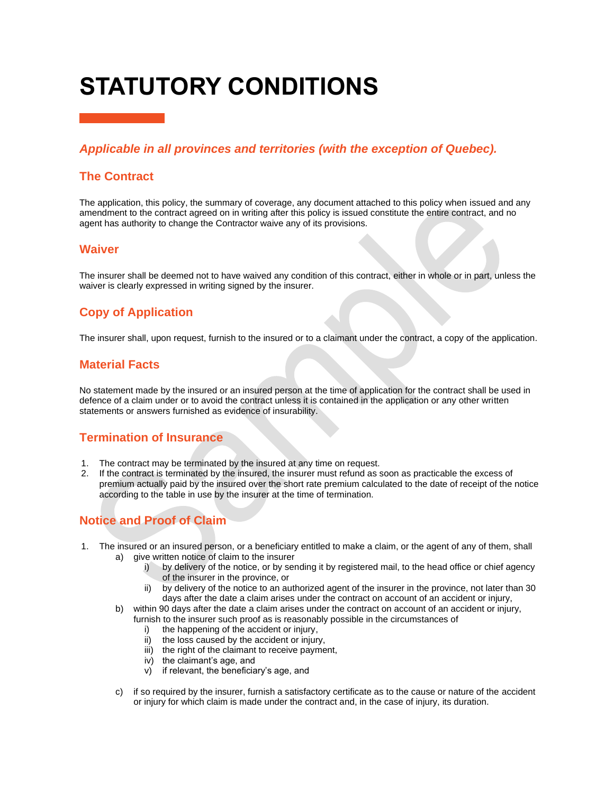# **STATUTORY CONDITIONS**

### *Applicable in all provinces and territories (with the exception of Quebec).*

#### **The Contract**

The application, this policy, the summary of coverage, any document attached to this policy when issued and any amendment to the contract agreed on in writing after this policy is issued constitute the entire contract, and no agent has authority to change the Contractor waive any of its provisions.

#### **Waiver**

The insurer shall be deemed not to have waived any condition of this contract, either in whole or in part, unless the waiver is clearly expressed in writing signed by the insurer.

### **Copy of Application**

The insurer shall, upon request, furnish to the insured or to a claimant under the contract, a copy of the application.

#### **Material Facts**

No statement made by the insured or an insured person at the time of application for the contract shall be used in defence of a claim under or to avoid the contract unless it is contained in the application or any other written statements or answers furnished as evidence of insurability.

### **Termination of Insurance**

- 1. The contract may be terminated by the insured at any time on request.
- 2. If the contract is terminated by the insured, the insurer must refund as soon as practicable the excess of premium actually paid by the insured over the short rate premium calculated to the date of receipt of the notice according to the table in use by the insurer at the time of termination.

### **Notice and Proof of Claim**

- 1. The insured or an insured person, or a beneficiary entitled to make a claim, or the agent of any of them, shall a) give written notice of claim to the insurer
	- i) by delivery of the notice, or by sending it by registered mail, to the head office or chief agency of the insurer in the province, or
	- ii) by delivery of the notice to an authorized agent of the insurer in the province, not later than 30 days after the date a claim arises under the contract on account of an accident or injury,
	- b) within 90 days after the date a claim arises under the contract on account of an accident or injury, furnish to the insurer such proof as is reasonably possible in the circumstances of
		- i) the happening of the accident or injury,
		- ii) the loss caused by the accident or injury,
		- iii) the right of the claimant to receive payment,
		- iv) the claimant's age, and
		- v) if relevant, the beneficiary's age, and
	- c) if so required by the insurer, furnish a satisfactory certificate as to the cause or nature of the accident or injury for which claim is made under the contract and, in the case of injury, its duration.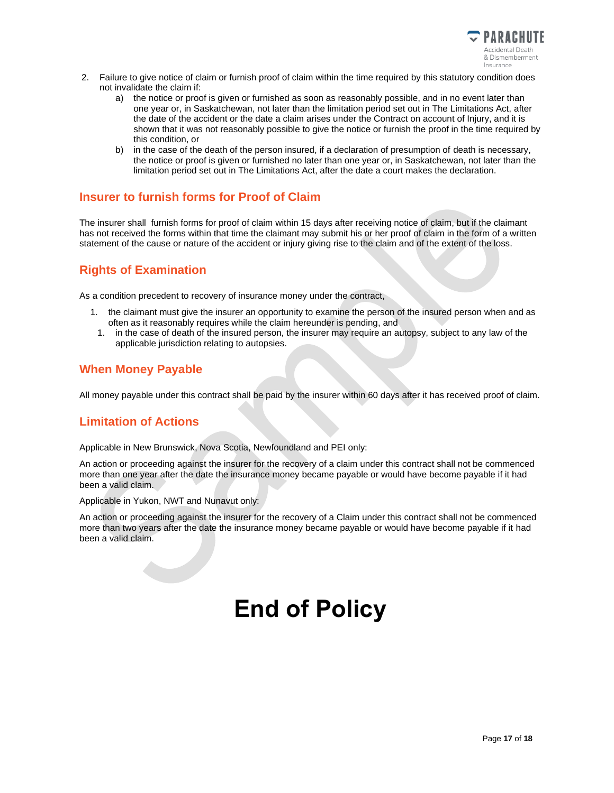

- 2. Failure to give notice of claim or furnish proof of claim within the time required by this statutory condition does not invalidate the claim if:
	- a) the notice or proof is given or furnished as soon as reasonably possible, and in no event later than one year or, in Saskatchewan, not later than the limitation period set out in The Limitations Act, after the date of the accident or the date a claim arises under the Contract on account of Injury, and it is shown that it was not reasonably possible to give the notice or furnish the proof in the time required by this condition, or
	- b) in the case of the death of the person insured, if a declaration of presumption of death is necessary, the notice or proof is given or furnished no later than one year or, in Saskatchewan, not later than the limitation period set out in The Limitations Act, after the date a court makes the declaration.

#### **Insurer to furnish forms for Proof of Claim**

The insurer shall furnish forms for proof of claim within 15 days after receiving notice of claim, but if the claimant has not received the forms within that time the claimant may submit his or her proof of claim in the form of a written statement of the cause or nature of the accident or injury giving rise to the claim and of the extent of the loss.

### **Rights of Examination**

As a condition precedent to recovery of insurance money under the contract,

- 1. the claimant must give the insurer an opportunity to examine the person of the insured person when and as often as it reasonably requires while the claim hereunder is pending, and
	- 1. in the case of death of the insured person, the insurer may require an autopsy, subject to any law of the applicable jurisdiction relating to autopsies.

### **When Money Payable**

All money payable under this contract shall be paid by the insurer within 60 days after it has received proof of claim.

### **Limitation of Actions**

Applicable in New Brunswick, Nova Scotia, Newfoundland and PEI only:

An action or proceeding against the insurer for the recovery of a claim under this contract shall not be commenced more than one year after the date the insurance money became payable or would have become payable if it had been a valid claim.

Applicable in Yukon, NWT and Nunavut only:

An action or proceeding against the insurer for the recovery of a Claim under this contract shall not be commenced more than two years after the date the insurance money became payable or would have become payable if it had been a valid claim.

# **End of Policy**